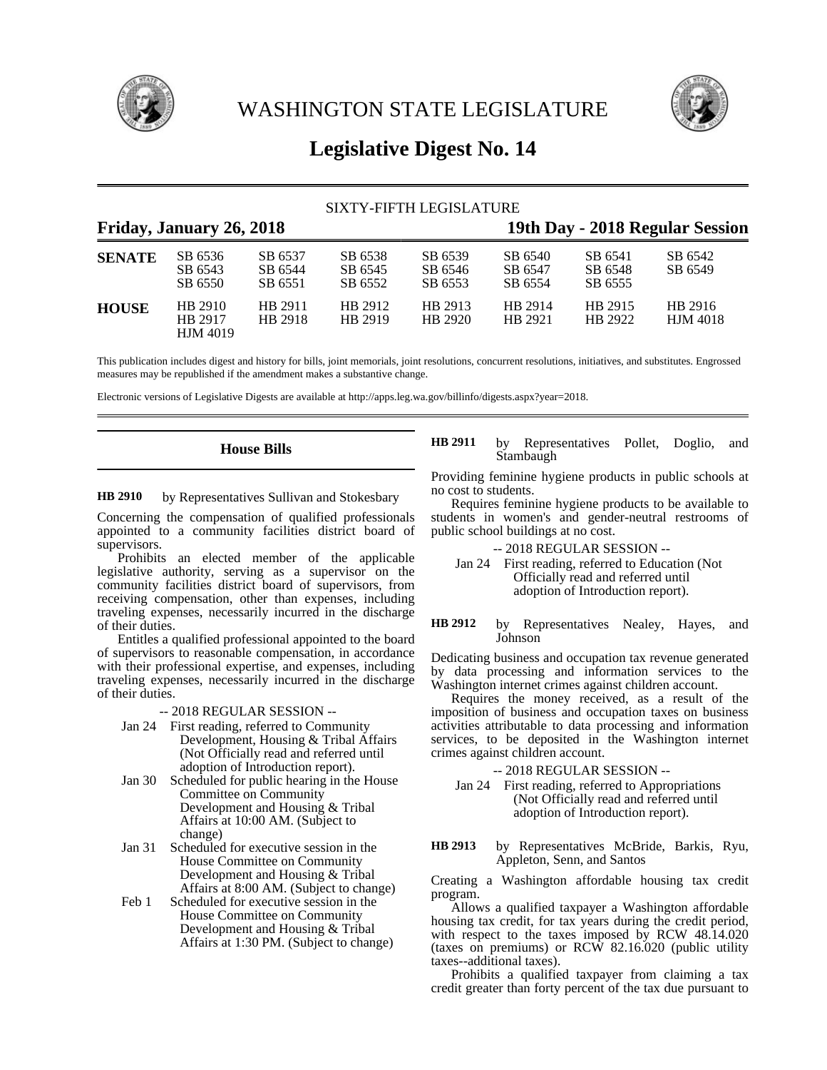

WASHINGTON STATE LEGISLATURE



# **Legislative Digest No. 14**

|               |                                       |                               | SIXTY-FIFTH LEGISLATURE       |                                 |                               |                               |                            |
|---------------|---------------------------------------|-------------------------------|-------------------------------|---------------------------------|-------------------------------|-------------------------------|----------------------------|
|               | Friday, January 26, 2018              |                               |                               | 19th Day - 2018 Regular Session |                               |                               |                            |
| <b>SENATE</b> | SB 6536<br>SB 6543<br>SB 6550         | SB 6537<br>SB 6544<br>SB 6551 | SB 6538<br>SB 6545<br>SB 6552 | SB 6539<br>SB 6546<br>SB 6553   | SB 6540<br>SB 6547<br>SB 6554 | SB 6541<br>SB 6548<br>SB 6555 | SB 6542<br>SB 6549         |
| <b>HOUSE</b>  | HB 2910<br>HB 2917<br><b>HJM 4019</b> | HB 2911<br>HB 2918            | HB 2912<br>HB 2919            | HB 2913<br>HB 2920              | HB 2914<br>HB 2921            | HB 2915<br>HB 2922            | HB 2916<br><b>HJM</b> 4018 |

This publication includes digest and history for bills, joint memorials, joint resolutions, concurrent resolutions, initiatives, and substitutes. Engrossed measures may be republished if the amendment makes a substantive change.

Electronic versions of Legislative Digests are available at http://apps.leg.wa.gov/billinfo/digests.aspx?year=2018.

# **House Bills**

by Representatives Sullivan and Stokesbary **HB 2910**

Concerning the compensation of qualified professionals appointed to a community facilities district board of supervisors.

Prohibits an elected member of the applicable legislative authority, serving as a supervisor on the community facilities district board of supervisors, from receiving compensation, other than expenses, including traveling expenses, necessarily incurred in the discharge of their duties.

Entitles a qualified professional appointed to the board of supervisors to reasonable compensation, in accordance with their professional expertise, and expenses, including traveling expenses, necessarily incurred in the discharge of their duties.

## -- 2018 REGULAR SESSION --

- Jan 24 First reading, referred to Community Development, Housing & Tribal Affairs (Not Officially read and referred until adoption of Introduction report).
- Jan 30 Scheduled for public hearing in the House Committee on Community Development and Housing & Tribal Affairs at 10:00 AM. (Subject to change)
- Jan 31 Scheduled for executive session in the House Committee on Community Development and Housing & Tribal Affairs at 8:00 AM. (Subject to change)
- Feb 1 Scheduled for executive session in the House Committee on Community Development and Housing & Tribal Affairs at 1:30 PM. (Subject to change)

by Representatives Pollet, Doglio, and Stambaugh **HB 2911**

Providing feminine hygiene products in public schools at no cost to students.

Requires feminine hygiene products to be available to students in women's and gender-neutral restrooms of public school buildings at no cost.

- -- 2018 REGULAR SESSION --
- Jan 24 First reading, referred to Education (Not Officially read and referred until adoption of Introduction report).

by Representatives Nealey, Hayes, and Johnson **HB 2912**

Dedicating business and occupation tax revenue generated by data processing and information services to the Washington internet crimes against children account.

Requires the money received, as a result of the imposition of business and occupation taxes on business activities attributable to data processing and information services, to be deposited in the Washington internet crimes against children account.

- -- 2018 REGULAR SESSION --
- Jan 24 First reading, referred to Appropriations (Not Officially read and referred until adoption of Introduction report).

by Representatives McBride, Barkis, Ryu, Appleton, Senn, and Santos **HB 2913**

Creating a Washington affordable housing tax credit program.

Allows a qualified taxpayer a Washington affordable housing tax credit, for tax years during the credit period, with respect to the taxes imposed by RCW 48.14.020 (taxes on premiums) or RCW 82.16.020 (public utility taxes--additional taxes).

Prohibits a qualified taxpayer from claiming a tax credit greater than forty percent of the tax due pursuant to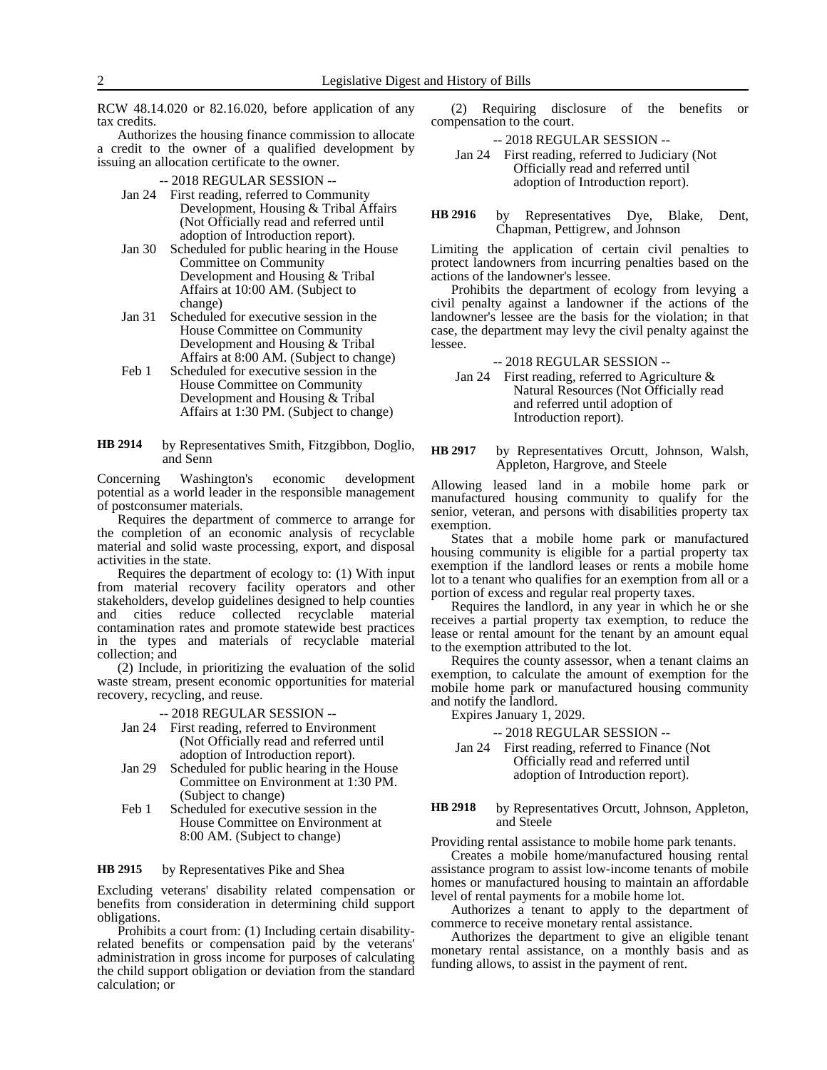RCW 48.14.020 or 82.16.020, before application of any tax credits.

Authorizes the housing finance commission to allocate a credit to the owner of a qualified development by issuing an allocation certificate to the owner.

-- 2018 REGULAR SESSION --

- Jan 24 First reading, referred to Community Development, Housing & Tribal Affairs (Not Officially read and referred until adoption of Introduction report).
- Jan 30 Scheduled for public hearing in the House Committee on Community Development and Housing & Tribal Affairs at 10:00 AM. (Subject to change)
- Jan 31 Scheduled for executive session in the House Committee on Community Development and Housing & Tribal Affairs at 8:00 AM. (Subject to change)
- Feb 1 Scheduled for executive session in the House Committee on Community Development and Housing & Tribal Affairs at 1:30 PM. (Subject to change)
- by Representatives Smith, Fitzgibbon, Doglio, and Senn **HB 2914**

Concerning Washington's economic development potential as a world leader in the responsible management of postconsumer materials.

Requires the department of commerce to arrange for the completion of an economic analysis of recyclable material and solid waste processing, export, and disposal activities in the state.

Requires the department of ecology to: (1) With input from material recovery facility operators and other stakeholders, develop guidelines designed to help counties and cities reduce collected recyclable material contamination rates and promote statewide best practices in the types and materials of recyclable material collection; and

(2) Include, in prioritizing the evaluation of the solid waste stream, present economic opportunities for material recovery, recycling, and reuse.

### -- 2018 REGULAR SESSION --

- Jan 24 First reading, referred to Environment (Not Officially read and referred until adoption of Introduction report).
- Jan 29 Scheduled for public hearing in the House Committee on Environment at 1:30 PM. (Subject to change)
- Feb 1 Scheduled for executive session in the House Committee on Environment at 8:00 AM. (Subject to change)

#### by Representatives Pike and Shea **HB 2915**

Excluding veterans' disability related compensation or benefits from consideration in determining child support obligations.

Prohibits a court from: (1) Including certain disabilityrelated benefits or compensation paid by the veterans' administration in gross income for purposes of calculating the child support obligation or deviation from the standard calculation; or

(2) Requiring disclosure of the benefits or compensation to the court.

-- 2018 REGULAR SESSION --

Jan 24 First reading, referred to Judiciary (Not Officially read and referred until adoption of Introduction report).

by Representatives Dye, Blake, Dent, Chapman, Pettigrew, and Johnson **HB 2916**

Limiting the application of certain civil penalties to protect landowners from incurring penalties based on the actions of the landowner's lessee.

Prohibits the department of ecology from levying a civil penalty against a landowner if the actions of the landowner's lessee are the basis for the violation; in that case, the department may levy the civil penalty against the lessee.

-- 2018 REGULAR SESSION --

Jan 24 First reading, referred to Agriculture & Natural Resources (Not Officially read and referred until adoption of Introduction report).

by Representatives Orcutt, Johnson, Walsh, Appleton, Hargrove, and Steele **HB 2917**

Allowing leased land in a mobile home park or manufactured housing community to qualify for the senior, veteran, and persons with disabilities property tax exemption.

States that a mobile home park or manufactured housing community is eligible for a partial property tax exemption if the landlord leases or rents a mobile home lot to a tenant who qualifies for an exemption from all or a portion of excess and regular real property taxes.

Requires the landlord, in any year in which he or she receives a partial property tax exemption, to reduce the lease or rental amount for the tenant by an amount equal to the exemption attributed to the lot.

Requires the county assessor, when a tenant claims an exemption, to calculate the amount of exemption for the mobile home park or manufactured housing community and notify the landlord.

Expires January 1, 2029.

-- 2018 REGULAR SESSION --

Jan 24 First reading, referred to Finance (Not Officially read and referred until adoption of Introduction report).

by Representatives Orcutt, Johnson, Appleton, and Steele **HB 2918**

Providing rental assistance to mobile home park tenants.

Creates a mobile home/manufactured housing rental assistance program to assist low-income tenants of mobile homes or manufactured housing to maintain an affordable level of rental payments for a mobile home lot.

Authorizes a tenant to apply to the department of commerce to receive monetary rental assistance.

Authorizes the department to give an eligible tenant monetary rental assistance, on a monthly basis and as funding allows, to assist in the payment of rent.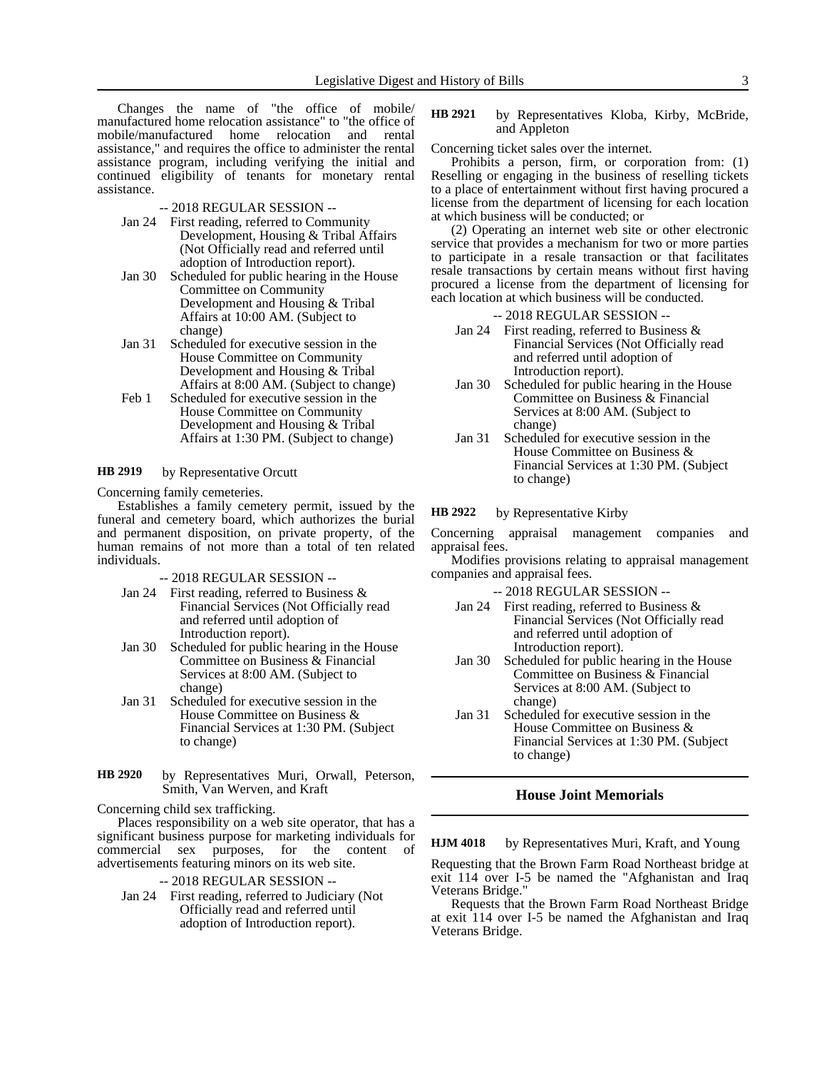Changes the name of "the office of mobile/ manufactured home relocation assistance" to "the office of mobile/manufactured home relocation and rental assistance," and requires the office to administer the rental assistance program, including verifying the initial and continued eligibility of tenants for monetary rental assistance.

-- 2018 REGULAR SESSION --

- Jan 24 First reading, referred to Community Development, Housing & Tribal Affairs (Not Officially read and referred until adoption of Introduction report).
- Jan 30 Scheduled for public hearing in the House Committee on Community Development and Housing & Tribal Affairs at 10:00 AM. (Subject to change)
- Jan 31 Scheduled for executive session in the House Committee on Community Development and Housing & Tribal Affairs at 8:00 AM. (Subject to change)
- Feb 1 Scheduled for executive session in the House Committee on Community Development and Housing & Tribal Affairs at 1:30 PM. (Subject to change)

#### by Representative Orcutt **HB 2919**

Concerning family cemeteries.

Establishes a family cemetery permit, issued by the funeral and cemetery board, which authorizes the burial and permanent disposition, on private property, of the human remains of not more than a total of ten related individuals.

- -- 2018 REGULAR SESSION --
- Jan 24 First reading, referred to Business & Financial Services (Not Officially read and referred until adoption of Introduction report).
- Jan 30 Scheduled for public hearing in the House Committee on Business & Financial Services at 8:00 AM. (Subject to change)
- Jan 31 Scheduled for executive session in the House Committee on Business & Financial Services at 1:30 PM. (Subject to change)
- by Representatives Muri, Orwall, Peterson, Smith, Van Werven, and Kraft **HB 2920**

Concerning child sex trafficking.

Places responsibility on a web site operator, that has a significant business purpose for marketing individuals for commercial sex purposes, for the content of advertisements featuring minors on its web site.

- -- 2018 REGULAR SESSION --
- Jan 24 First reading, referred to Judiciary (Not Officially read and referred until adoption of Introduction report).

### by Representatives Kloba, Kirby, McBride, and Appleton **HB 2921**

Concerning ticket sales over the internet.

Prohibits a person, firm, or corporation from: (1) Reselling or engaging in the business of reselling tickets to a place of entertainment without first having procured a license from the department of licensing for each location at which business will be conducted; or

(2) Operating an internet web site or other electronic service that provides a mechanism for two or more parties to participate in a resale transaction or that facilitates resale transactions by certain means without first having procured a license from the department of licensing for each location at which business will be conducted.

-- 2018 REGULAR SESSION --

- Jan 24 First reading, referred to Business & Financial Services (Not Officially read and referred until adoption of Introduction report).
- Jan 30 Scheduled for public hearing in the House Committee on Business & Financial Services at 8:00 AM. (Subject to change)
- Jan 31 Scheduled for executive session in the House Committee on Business & Financial Services at 1:30 PM. (Subject to change)

by Representative Kirby **HB 2922**

Concerning appraisal management companies and appraisal fees.

Modifies provisions relating to appraisal management companies and appraisal fees.

-- 2018 REGULAR SESSION --

- Jan 24 First reading, referred to Business & Financial Services (Not Officially read and referred until adoption of Introduction report).
- Jan 30 Scheduled for public hearing in the House Committee on Business & Financial Services at 8:00 AM. (Subject to change)
- Jan 31 Scheduled for executive session in the House Committee on Business & Financial Services at 1:30 PM. (Subject to change)

### **House Joint Memorials**

by Representatives Muri, Kraft, and Young **HJM 4018**

Requesting that the Brown Farm Road Northeast bridge at exit 114 over I-5 be named the "Afghanistan and Iraq Veterans Bridge."

Requests that the Brown Farm Road Northeast Bridge at exit 114 over I-5 be named the Afghanistan and Iraq Veterans Bridge.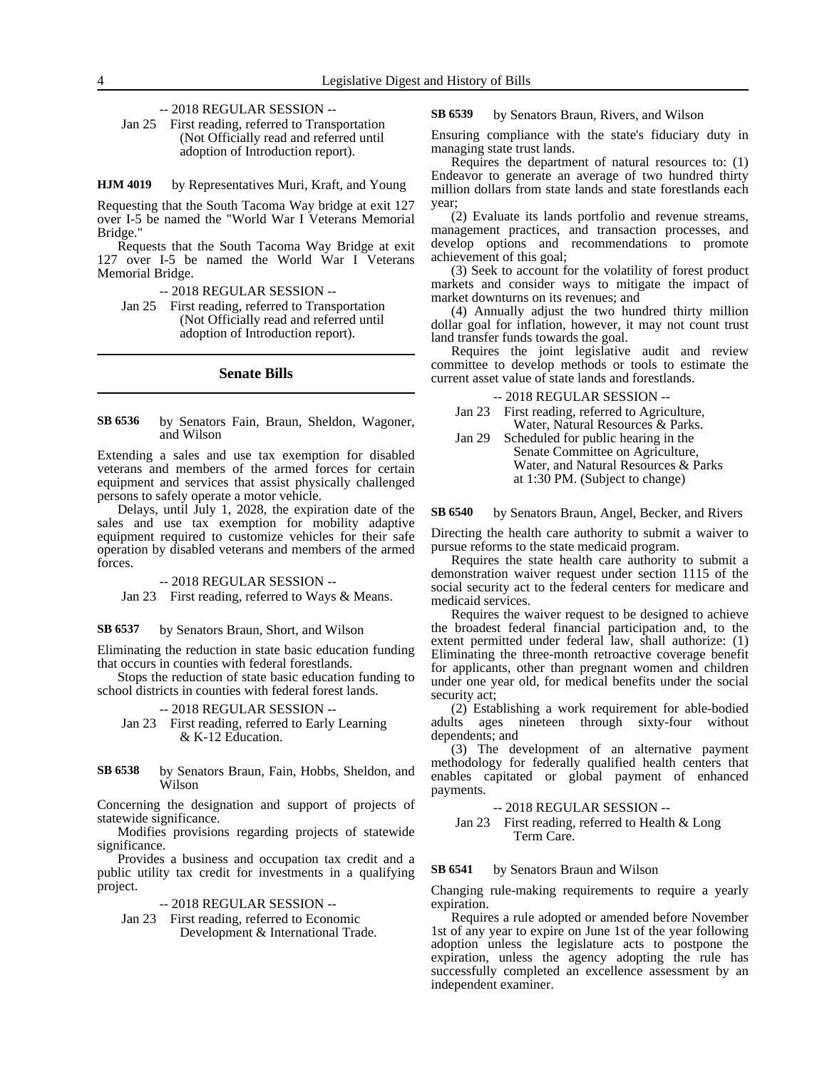-- 2018 REGULAR SESSION --

Jan 25 First reading, referred to Transportation (Not Officially read and referred until adoption of Introduction report).

by Representatives Muri, Kraft, and Young **HJM 4019**

Requesting that the South Tacoma Way bridge at exit 127 over I-5 be named the "World War I Veterans Memorial Bridge."

Requests that the South Tacoma Way Bridge at exit 127 over I-5 be named the World War I Veterans Memorial Bridge.

-- 2018 REGULAR SESSION --

Jan 25 First reading, referred to Transportation (Not Officially read and referred until adoption of Introduction report).

### **Senate Bills**

#### by Senators Fain, Braun, Sheldon, Wagoner, and Wilson **SB 6536**

Extending a sales and use tax exemption for disabled veterans and members of the armed forces for certain equipment and services that assist physically challenged persons to safely operate a motor vehicle.

Delays, until July 1, 2028, the expiration date of the sales and use tax exemption for mobility adaptive equipment required to customize vehicles for their safe operation by disabled veterans and members of the armed forces.

### -- 2018 REGULAR SESSION --

Jan 23 First reading, referred to Ways & Means.

by Senators Braun, Short, and Wilson **SB 6537**

Eliminating the reduction in state basic education funding that occurs in counties with federal forestlands.

Stops the reduction of state basic education funding to school districts in counties with federal forest lands.

### -- 2018 REGULAR SESSION --

Jan 23 First reading, referred to Early Learning & K-12 Education.

by Senators Braun, Fain, Hobbs, Sheldon, and Wilson **SB 6538**

Concerning the designation and support of projects of statewide significance.

Modifies provisions regarding projects of statewide significance.

Provides a business and occupation tax credit and a public utility tax credit for investments in a qualifying project.

-- 2018 REGULAR SESSION --

Jan 23 First reading, referred to Economic Development & International Trade.

by Senators Braun, Rivers, and Wilson **SB 6539**

Ensuring compliance with the state's fiduciary duty in managing state trust lands.

Requires the department of natural resources to: (1) Endeavor to generate an average of two hundred thirty million dollars from state lands and state forestlands each year;

(2) Evaluate its lands portfolio and revenue streams, management practices, and transaction processes, and develop options and recommendations to promote achievement of this goal;

(3) Seek to account for the volatility of forest product markets and consider ways to mitigate the impact of market downturns on its revenues; and

(4) Annually adjust the two hundred thirty million dollar goal for inflation, however, it may not count trust land transfer funds towards the goal.

Requires the joint legislative audit and review committee to develop methods or tools to estimate the current asset value of state lands and forestlands.

-- 2018 REGULAR SESSION --

- Jan 23 First reading, referred to Agriculture, Water, Natural Resources & Parks.
- Jan 29 Scheduled for public hearing in the Senate Committee on Agriculture, Water, and Natural Resources & Parks at 1:30 PM. (Subject to change)

by Senators Braun, Angel, Becker, and Rivers **SB 6540**

Directing the health care authority to submit a waiver to pursue reforms to the state medicaid program.

Requires the state health care authority to submit a demonstration waiver request under section 1115 of the social security act to the federal centers for medicare and medicaid services.

Requires the waiver request to be designed to achieve the broadest federal financial participation and, to the extent permitted under federal law, shall authorize: (1) Eliminating the three-month retroactive coverage benefit for applicants, other than pregnant women and children under one year old, for medical benefits under the social security act;

(2) Establishing a work requirement for able-bodied adults ages nineteen through sixty-four without dependents; and

(3) The development of an alternative payment methodology for federally qualified health centers that enables capitated or global payment of enhanced payments.

-- 2018 REGULAR SESSION --

Jan 23 First reading, referred to Health & Long Term Care.

#### by Senators Braun and Wilson **SB 6541**

Changing rule-making requirements to require a yearly expiration.

Requires a rule adopted or amended before November 1st of any year to expire on June 1st of the year following adoption unless the legislature acts to postpone the expiration, unless the agency adopting the rule has successfully completed an excellence assessment by an independent examiner.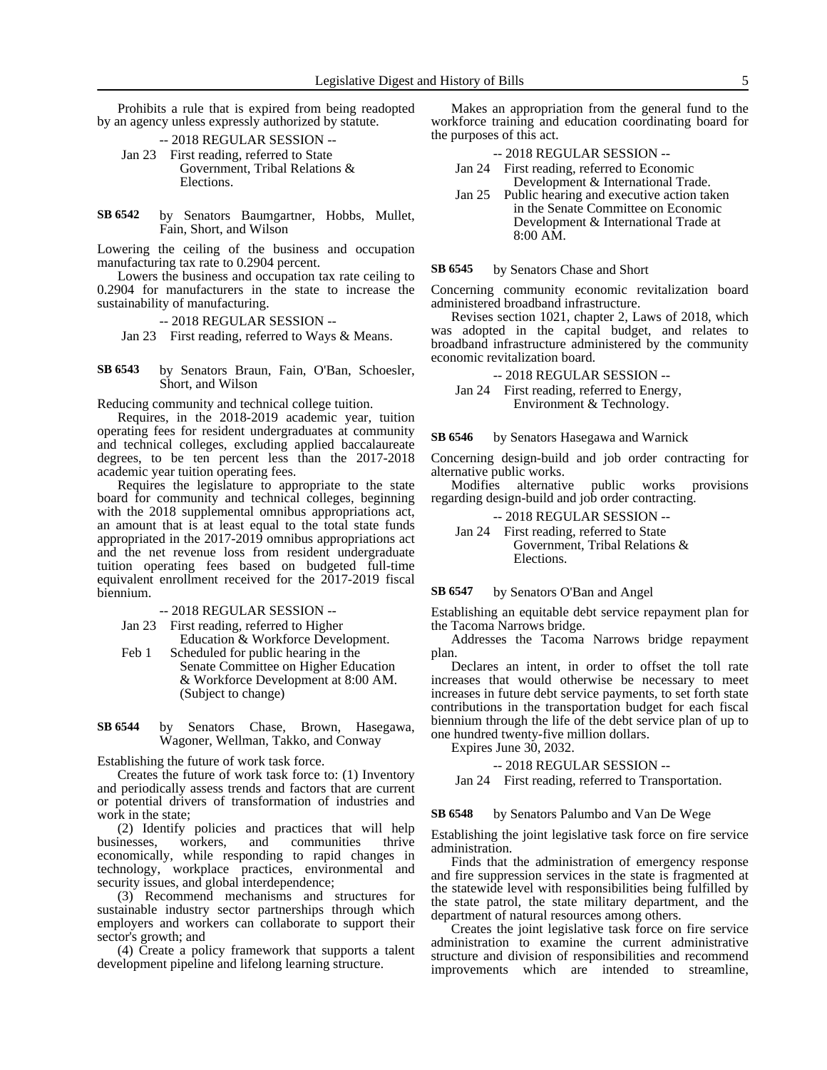Prohibits a rule that is expired from being readopted by an agency unless expressly authorized by statute.

- -- 2018 REGULAR SESSION -- Jan 23 First reading, referred to State Government, Tribal Relations & Elections.
- by Senators Baumgartner, Hobbs, Mullet, Fain, Short, and Wilson **SB 6542**

Lowering the ceiling of the business and occupation manufacturing tax rate to 0.2904 percent.

Lowers the business and occupation tax rate ceiling to 0.2904 for manufacturers in the state to increase the sustainability of manufacturing.

-- 2018 REGULAR SESSION --

Jan 23 First reading, referred to Ways & Means.

by Senators Braun, Fain, O'Ban, Schoesler, Short, and Wilson **SB 6543**

Reducing community and technical college tuition.

Requires, in the 2018-2019 academic year, tuition operating fees for resident undergraduates at community and technical colleges, excluding applied baccalaureate degrees, to be ten percent less than the 2017-2018 academic year tuition operating fees.

Requires the legislature to appropriate to the state board for community and technical colleges, beginning with the 2018 supplemental omnibus appropriations act, an amount that is at least equal to the total state funds appropriated in the 2017-2019 omnibus appropriations act and the net revenue loss from resident undergraduate tuition operating fees based on budgeted full-time equivalent enrollment received for the 2017-2019 fiscal biennium.

-- 2018 REGULAR SESSION --

- Jan 23 First reading, referred to Higher
- Education & Workforce Development. Feb 1 Scheduled for public hearing in the Senate Committee on Higher Education & Workforce Development at 8:00 AM.

(Subject to change)

by Senators Chase, Brown, Hasegawa, Wagoner, Wellman, Takko, and Conway **SB 6544**

Establishing the future of work task force.

Creates the future of work task force to: (1) Inventory and periodically assess trends and factors that are current or potential drivers of transformation of industries and work in the state;

(2) Identify policies and practices that will help businesses, workers, and communities thrive economically, while responding to rapid changes in technology, workplace practices, environmental and security issues, and global interdependence;

(3) Recommend mechanisms and structures for sustainable industry sector partnerships through which employers and workers can collaborate to support their sector's growth; and

(4) Create a policy framework that supports a talent development pipeline and lifelong learning structure.

Makes an appropriation from the general fund to the workforce training and education coordinating board for the purposes of this act.

| $-2018$ REGULAR SESSION $-$ |
|-----------------------------|
|                             |

| Jan $24$                   | First reading, referred to Economic    |  |  |  |  |  |
|----------------------------|----------------------------------------|--|--|--|--|--|
|                            | Development & International Trade.     |  |  |  |  |  |
| $\mathop{\mathrm{Ian}} 25$ | Public hearing and executive action ta |  |  |  |  |  |

ic nearing and executive action taken in the Senate Committee on Economic Development & International Trade at 8:00 AM.

by Senators Chase and Short **SB 6545**

Concerning community economic revitalization board administered broadband infrastructure.

Revises section 1021, chapter 2, Laws of 2018, which was adopted in the capital budget, and relates to broadband infrastructure administered by the community economic revitalization board.

-- 2018 REGULAR SESSION --

Jan 24 First reading, referred to Energy, Environment & Technology.

by Senators Hasegawa and Warnick **SB 6546**

Concerning design-build and job order contracting for alternative public works.

Modifies alternative public works provisions regarding design-build and job order contracting.

-- 2018 REGULAR SESSION --

Jan 24 First reading, referred to State Government, Tribal Relations & Elections.

#### by Senators O'Ban and Angel **SB 6547**

Establishing an equitable debt service repayment plan for the Tacoma Narrows bridge.

Addresses the Tacoma Narrows bridge repayment plan.

Declares an intent, in order to offset the toll rate increases that would otherwise be necessary to meet increases in future debt service payments, to set forth state contributions in the transportation budget for each fiscal biennium through the life of the debt service plan of up to one hundred twenty-five million dollars.

Expires June 30, 2032.

-- 2018 REGULAR SESSION --

Jan 24 First reading, referred to Transportation.

#### by Senators Palumbo and Van De Wege **SB 6548**

Establishing the joint legislative task force on fire service administration.

Finds that the administration of emergency response and fire suppression services in the state is fragmented at the statewide level with responsibilities being fulfilled by the state patrol, the state military department, and the department of natural resources among others.

Creates the joint legislative task force on fire service administration to examine the current administrative structure and division of responsibilities and recommend improvements which are intended to streamline,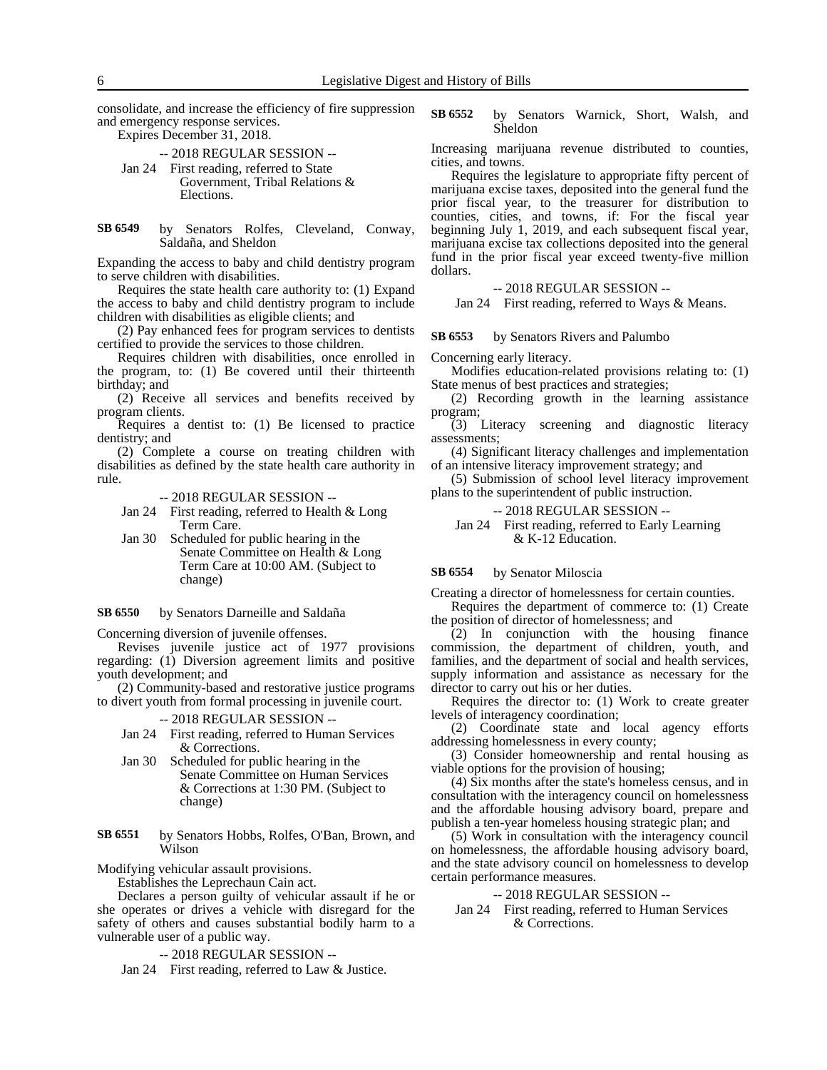consolidate, and increase the efficiency of fire suppression and emergency response services.

Expires December 31, 2018.

-- 2018 REGULAR SESSION -- Jan 24 First reading, referred to State Government, Tribal Relations & Elections.

by Senators Rolfes, Cleveland, Conway, Saldaña, and Sheldon **SB 6549**

Expanding the access to baby and child dentistry program to serve children with disabilities.

Requires the state health care authority to: (1) Expand the access to baby and child dentistry program to include children with disabilities as eligible clients; and

(2) Pay enhanced fees for program services to dentists certified to provide the services to those children.

Requires children with disabilities, once enrolled in the program, to: (1) Be covered until their thirteenth birthday; and

(2) Receive all services and benefits received by program clients.

Requires a dentist to: (1) Be licensed to practice dentistry; and

(2) Complete a course on treating children with disabilities as defined by the state health care authority in rule.

-- 2018 REGULAR SESSION --

- Jan 24 First reading, referred to Health & Long Term Care.
- Jan 30 Scheduled for public hearing in the Senate Committee on Health & Long Term Care at 10:00 AM. (Subject to change)

#### by Senators Darneille and Saldaña **SB 6550**

Concerning diversion of juvenile offenses.

Revises juvenile justice act of 1977 provisions regarding: (1) Diversion agreement limits and positive youth development; and

(2) Community-based and restorative justice programs to divert youth from formal processing in juvenile court.

-- 2018 REGULAR SESSION --

- Jan 24 First reading, referred to Human Services & Corrections.
- Jan 30 Scheduled for public hearing in the Senate Committee on Human Services & Corrections at 1:30 PM. (Subject to change)

by Senators Hobbs, Rolfes, O'Ban, Brown, and Wilson **SB 6551**

Modifying vehicular assault provisions.

Establishes the Leprechaun Cain act.

Declares a person guilty of vehicular assault if he or she operates or drives a vehicle with disregard for the safety of others and causes substantial bodily harm to a vulnerable user of a public way.

-- 2018 REGULAR SESSION --

Jan 24 First reading, referred to Law & Justice.

by Senators Warnick, Short, Walsh, and Sheldon **SB 6552**

Increasing marijuana revenue distributed to counties, cities, and towns.

Requires the legislature to appropriate fifty percent of marijuana excise taxes, deposited into the general fund the prior fiscal year, to the treasurer for distribution to counties, cities, and towns, if: For the fiscal year beginning July 1, 2019, and each subsequent fiscal year, marijuana excise tax collections deposited into the general fund in the prior fiscal year exceed twenty-five million dollars.

### -- 2018 REGULAR SESSION --

Jan 24 First reading, referred to Ways & Means.

by Senators Rivers and Palumbo **SB 6553**

Concerning early literacy.

Modifies education-related provisions relating to: (1) State menus of best practices and strategies;

(2) Recording growth in the learning assistance program;

(3) Literacy screening and diagnostic literacy assessments;

(4) Significant literacy challenges and implementation of an intensive literacy improvement strategy; and

(5) Submission of school level literacy improvement plans to the superintendent of public instruction.

-- 2018 REGULAR SESSION --

Jan 24 First reading, referred to Early Learning & K-12 Education.

#### by Senator Miloscia **SB 6554**

Creating a director of homelessness for certain counties.

Requires the department of commerce to: (1) Create the position of director of homelessness; and

(2) In conjunction with the housing finance commission, the department of children, youth, and families, and the department of social and health services, supply information and assistance as necessary for the director to carry out his or her duties.

Requires the director to: (1) Work to create greater levels of interagency coordination;

(2) Coordinate state and local agency efforts addressing homelessness in every county;

(3) Consider homeownership and rental housing as viable options for the provision of housing;

(4) Six months after the state's homeless census, and in consultation with the interagency council on homelessness and the affordable housing advisory board, prepare and publish a ten-year homeless housing strategic plan; and

(5) Work in consultation with the interagency council on homelessness, the affordable housing advisory board, and the state advisory council on homelessness to develop certain performance measures.

### -- 2018 REGULAR SESSION --

Jan 24 First reading, referred to Human Services & Corrections.